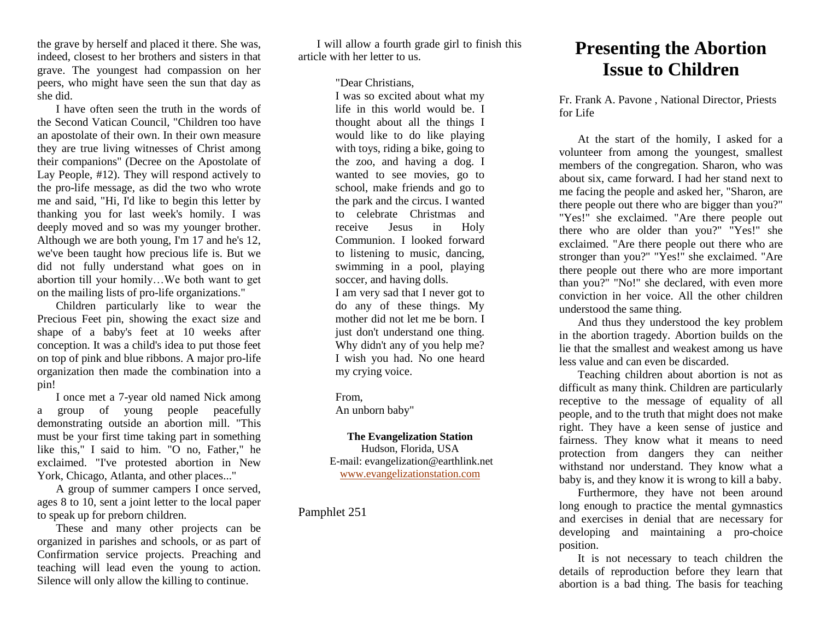the grave by herself and placed it there. She was, indeed, closest to her brothers and sisters in that grave. The youngest had compassion on her peers, who might have seen the sun that day as she did.

I have often seen the truth in the words of the Second Vatican Council, "Children too have an apostolate of their own. In their own measure they are true living witnesses of Christ among their companions" (Decree on the Apostolate of Lay People, #12). They will respond actively to the pro-life message, as did the two who wrote me and said, "Hi, I'd like to begin this letter by thanking you for last week's homily. I was deeply moved and so was my younger brother. Although we are both young, I'm 17 and he's 12, we've been taught how precious life is. But we did not fully understand what goes on in abortion till your homily…We both want to get on the mailing lists of pro-life organizations."

Children particularly like to wear the Precious Feet pin, showing the exact size and shape of a baby's feet at 10 weeks after conception. It was a child's idea to put those feet on top of pink and blue ribbons. A major pro-life organization then made the combination into a pin!

I once met a 7-year old named Nick among a group of young people peacefully demonstrating outside an abortion mill. "This must be your first time taking part in something like this," I said to him. "O no, Father," he exclaimed. "I've protested abortion in New York, Chicago, Atlanta, and other places..."

A group of summer campers I once served, ages 8 to 10, sent a joint letter to the local paper to speak up for preborn children.

These and many other projects can be organized in parishes and schools, or as part of Confirmation service projects. Preaching and teaching will lead even the young to action. Silence will only allow the killing to continue.

I will allow a fourth grade girl to finish this article with her letter to us.

"Dear Christians,

I was so excited about what my life in this world would be. I thought about all the things I would like to do like playing with toys, riding a bike, going to the zoo, and having a dog. I wanted to see movies, go to school, make friends and go to the park and the circus. I wanted to celebrate Christmas and receive Jesus in Holy Communion. I looked forward to listening to music, dancing, swimming in a pool, playing soccer, and having dolls. I am very sad that I never got to do any of these things. My mother did not let me be born. I just don't understand one thing. Why didn't any of you help me? I wish you had. No one heard my crying voice.

From,

An unborn baby"

**The Evangelization Station**

Hudson, Florida, USA E-mail: evangelization@earthlink.net [www.evangelizationstation.com](http://www.pjpiisoe.org/)

Pamphlet 251

## **Presenting the Abortion Issue to Children**

Fr. Frank A. Pavone , National Director, Priests for Life

At the start of the homily, I asked for a volunteer from among the youngest, smallest members of the congregation. Sharon, who was about six, came forward. I had her stand next to me facing the people and asked her, "Sharon, are there people out there who are bigger than you?" "Yes!" she exclaimed. "Are there people out there who are older than you?" "Yes!" she exclaimed. "Are there people out there who are stronger than you?" "Yes!" she exclaimed. "Are there people out there who are more important than you?" "No!" she declared, with even more conviction in her voice. All the other children understood the same thing.

And thus they understood the key problem in the abortion tragedy. Abortion builds on the lie that the smallest and weakest among us have less value and can even be discarded.

Teaching children about abortion is not as difficult as many think. Children are particularly receptive to the message of equality of all people, and to the truth that might does not make right. They have a keen sense of justice and fairness. They know what it means to need protection from dangers they can neither withstand nor understand. They know what a baby is, and they know it is wrong to kill a baby.

Furthermore, they have not been around long enough to practice the mental gymnastics and exercises in denial that are necessary for developing and maintaining a pro-choice position.

It is not necessary to teach children the details of reproduction before they learn that abortion is a bad thing. The basis for teaching